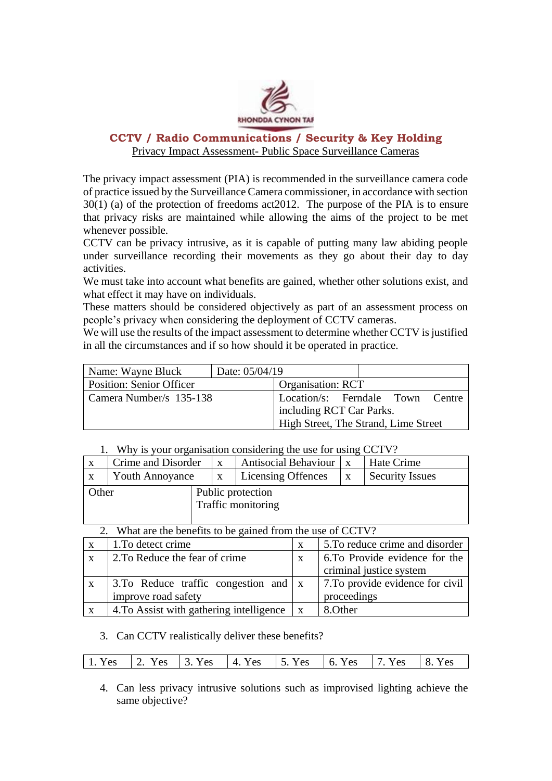

# **CCTV / Radio Communications / Security & Key Holding**  Privacy Impact Assessment- Public Space Surveillance Cameras

The privacy impact assessment (PIA) is recommended in the surveillance camera code of practice issued by the Surveillance Camera commissioner, in accordance with section 30(1) (a) of the protection of freedoms act2012. The purpose of the PIA is to ensure that privacy risks are maintained while allowing the aims of the project to be met whenever possible.

CCTV can be privacy intrusive, as it is capable of putting many law abiding people under surveillance recording their movements as they go about their day to day activities.

We must take into account what benefits are gained, whether other solutions exist, and what effect it may have on individuals.

These matters should be considered objectively as part of an assessment process on people's privacy when considering the deployment of CCTV cameras.

We will use the results of the impact assessment to determine whether CCTV is justified in all the circumstances and if so how should it be operated in practice.

| Name: Wayne Bluck<br>Date: 05/04/19 |                                      |
|-------------------------------------|--------------------------------------|
| <b>Position: Senior Officer</b>     | <b>Organisation: RCT</b>             |
| Camera Number/s 135-138             | Location/s: Ferndale Town Centre     |
|                                     | including RCT Car Parks.             |
|                                     | High Street, The Strand, Lime Street |

## 1. Why is your organisation considering the use for using CCTV?

| $\mathbf{X}$ | Crime and Disorder     |  | $\mathbf{x}$                            | Antisocial Behaviour | $\mathbf{X}$ | Hate Crime             |
|--------------|------------------------|--|-----------------------------------------|----------------------|--------------|------------------------|
| $\mathbf{X}$ | <b>Youth Annoyance</b> |  | $\mathbf{X}$                            | Licensing Offences   | X            | <b>Security Issues</b> |
| Other        |                        |  | Public protection<br>Traffic monitoring |                      |              |                        |
|              |                        |  |                                         |                      |              |                        |

2. What are the benefits to be gained from the use of CCTV?

| $\mathbf{X}$ | 1. To detect crime                                  | X            | 5. To reduce crime and disorder  |
|--------------|-----------------------------------------------------|--------------|----------------------------------|
| $\mathbf{X}$ | 2. To Reduce the fear of crime                      | X            | 6.To Provide evidence for the    |
|              |                                                     |              | criminal justice system          |
| X            | 3. To Reduce traffic congestion and $\vert x \vert$ |              | 7. To provide evidence for civil |
|              | improve road safety                                 |              | proceedings                      |
| $\mathbf{X}$ | 4. To Assist with gathering intelligence            | $\mathbf{X}$ | 8. Other                         |

# 3. Can CCTV realistically deliver these benefits?

| 1. Yes 2. Yes 3. Yes 4. Yes 5. Yes 6. Yes 7. Yes 8. Yes |  |  |  |  |  |
|---------------------------------------------------------|--|--|--|--|--|
|---------------------------------------------------------|--|--|--|--|--|

4. Can less privacy intrusive solutions such as improvised lighting achieve the same objective?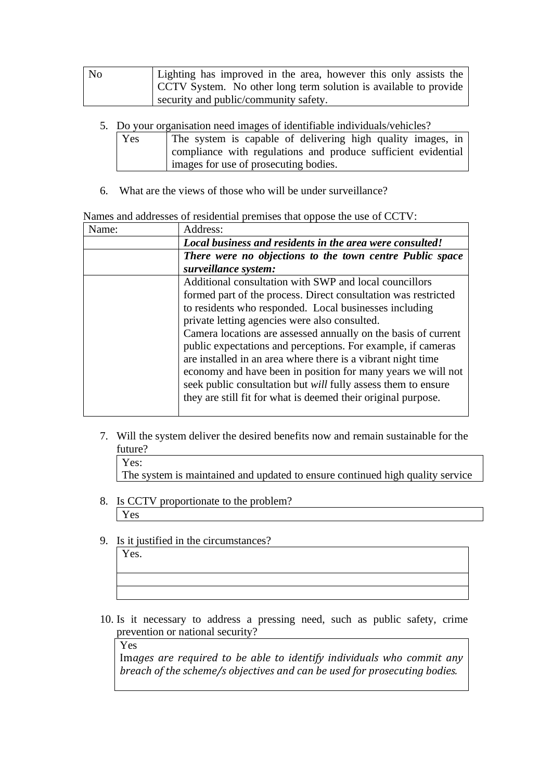| No | Lighting has improved in the area, however this only assists the |  |  |  |  |
|----|------------------------------------------------------------------|--|--|--|--|
|    | CCTV System. No other long term solution is available to provide |  |  |  |  |
|    | security and public/community safety.                            |  |  |  |  |

- 5. Do your organisation need images of identifiable individuals/vehicles?
	- Yes The system is capable of delivering high quality images, in compliance with regulations and produce sufficient evidential images for use of prosecuting bodies.
- 6. What are the views of those who will be under surveillance?

#### Names and addresses of residential premises that oppose the use of CCTV:

| Name: | Address:                                                             |
|-------|----------------------------------------------------------------------|
|       | Local business and residents in the area were consulted!             |
|       | There were no objections to the town centre Public space             |
|       | surveillance system:                                                 |
|       | Additional consultation with SWP and local councillors               |
|       | formed part of the process. Direct consultation was restricted       |
|       | to residents who responded. Local businesses including               |
|       | private letting agencies were also consulted.                        |
|       | Camera locations are assessed annually on the basis of current       |
|       | public expectations and perceptions. For example, if cameras         |
|       | are installed in an area where there is a vibrant night time         |
|       | economy and have been in position for many years we will not         |
|       | seek public consultation but <i>will</i> fully assess them to ensure |
|       | they are still fit for what is deemed their original purpose.        |
|       |                                                                      |

- 7. Will the system deliver the desired benefits now and remain sustainable for the future?
	- Yes:

The system is maintained and updated to ensure continued high quality service

- 8. Is CCTV proportionate to the problem? Yes
- 9. Is it justified in the circumstances?

10. Is it necessary to address a pressing need, such as public safety, crime prevention or national security?

Yes

Yes.

Im*ages are required to be able to identify individuals who commit any breach of the scheme/s objectives and can be used for prosecuting bodies.*